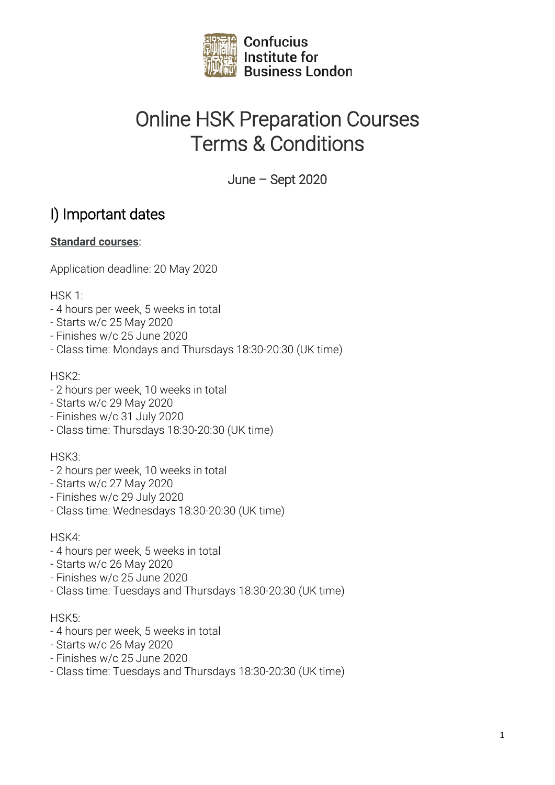

# Online HSK Preparation Courses Terms & Conditions

June – Sept 2020

# I) Important dates

#### **Standard courses**:

Application deadline: 20 May 2020

HSK 1:

- 4 hours per week, 5 weeks in total
- Starts w/c 25 May 2020
- Finishes w/c 25 June 2020
- Class time: Mondays and Thursdays 18:30-20:30 (UK time)

HSK2:

- 2 hours per week, 10 weeks in total
- Starts w/c 29 May 2020
- Finishes w/c 31 July 2020
- Class time: Thursdays 18:30-20:30 (UK time)

HSK3:

- 2 hours per week, 10 weeks in total
- Starts w/c 27 May 2020
- Finishes w/c 29 July 2020
- Class time: Wednesdays 18:30-20:30 (UK time)

HSK4:

- 4 hours per week, 5 weeks in total
- Starts w/c 26 May 2020
- Finishes w/c 25 June 2020
- Class time: Tuesdays and Thursdays 18:30-20:30 (UK time)

#### HSK5:

- 4 hours per week, 5 weeks in total
- Starts w/c 26 May 2020
- Finishes w/c 25 June 2020
- Class time: Tuesdays and Thursdays 18:30-20:30 (UK time)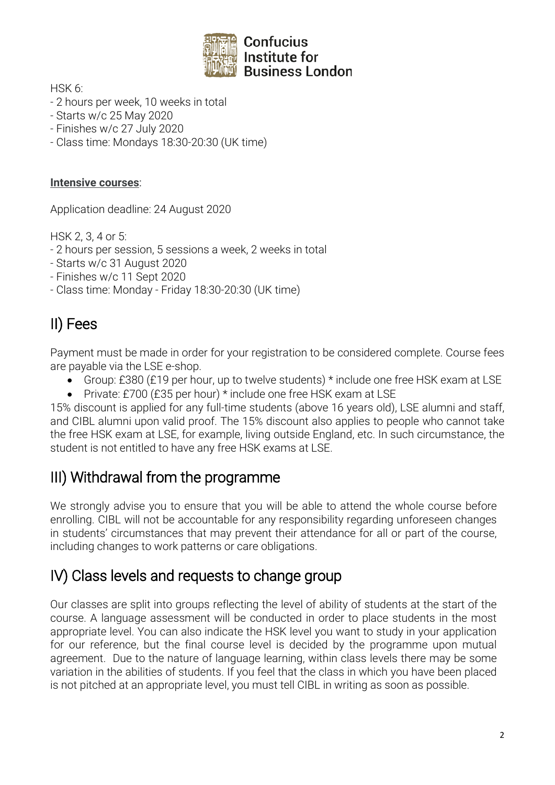

HSK 6:

- 2 hours per week, 10 weeks in total
- Starts w/c 25 May 2020
- Finishes w/c 27 July 2020
- Class time: Mondays 18:30-20:30 (UK time)

#### **Intensive courses**:

Application deadline: 24 August 2020

HSK 2, 3, 4 or 5:

- 2 hours per session, 5 sessions a week, 2 weeks in total
- Starts w/c 31 August 2020
- Finishes w/c 11 Sept 2020
- Class time: Monday Friday 18:30-20:30 (UK time)

# II) Fees

Payment must be made in order for your registration to be considered complete. Course fees are payable via the LSE e-shop.

- Group: £380 (£19 per hour, up to twelve students) \* include one free HSK exam at LSE
- Private: £700 (£35 per hour) \* include one free HSK exam at LSE

15% discount is applied for any full-time students (above 16 years old), LSE alumni and staff, and CIBL alumni upon valid proof. The 15% discount also applies to people who cannot take the free HSK exam at LSE, for example, living outside England, etc. In such circumstance, the student is not entitled to have any free HSK exams at LSE.

### III) Withdrawal from the programme

We strongly advise you to ensure that you will be able to attend the whole course before enrolling. CIBL will not be accountable for any responsibility regarding unforeseen changes in students' circumstances that may prevent their attendance for all or part of the course, including changes to work patterns or care obligations.

## IV) Class levels and requests to change group

Our classes are split into groups reflecting the level of ability of students at the start of the course. A language assessment will be conducted in order to place students in the most appropriate level. You can also indicate the HSK level you want to study in your application for our reference, but the final course level is decided by the programme upon mutual agreement. Due to the nature of language learning, within class levels there may be some variation in the abilities of students. If you feel that the class in which you have been placed is not pitched at an appropriate level, you must tell CIBL in writing as soon as possible.